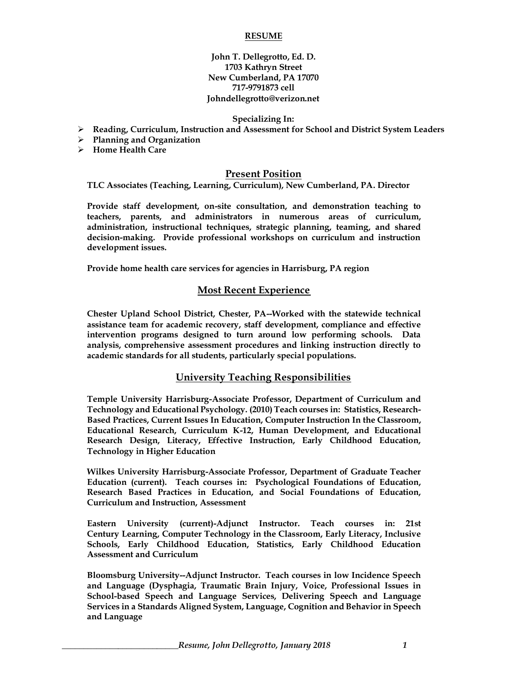#### **RESUME**

**John T. Dellegrotto, Ed. D. 1703 Kathryn Street New Cumberland, PA 17070 717-9791873 cell Johndellegrotto@verizon.net**

#### **Specializing In:**

- ➢ **Reading, Curriculum, Instruction and Assessment for School and District System Leaders**
- ➢ **Planning and Organization**
- ➢ **Home Health Care**

### **Present Position**

**TLC Associates (Teaching, Learning, Curriculum), New Cumberland, PA. Director**

**Provide staff development, on-site consultation, and demonstration teaching to teachers, parents, and administrators in numerous areas of curriculum, administration, instructional techniques, strategic planning, teaming, and shared decision-making. Provide professional workshops on curriculum and instruction development issues.**

**Provide home health care services for agencies in Harrisburg, PA region**

### **Most Recent Experience**

**Chester Upland School District, Chester, PA--Worked with the statewide technical assistance team for academic recovery, staff development, compliance and effective intervention programs designed to turn around low performing schools. Data analysis, comprehensive assessment procedures and linking instruction directly to academic standards for all students, particularly special populations.**

### **University Teaching Responsibilities**

**Temple University Harrisburg-Associate Professor, Department of Curriculum and Technology and Educational Psychology. (2010) Teach courses in: Statistics, Research-Based Practices, Current Issues In Education, Computer Instruction In the Classroom, Educational Research, Curriculum K-12, Human Development, and Educational Research Design, Literacy, Effective Instruction, Early Childhood Education, Technology in Higher Education**

**Wilkes University Harrisburg-Associate Professor, Department of Graduate Teacher Education (current). Teach courses in: Psychological Foundations of Education, Research Based Practices in Education, and Social Foundations of Education, Curriculum and Instruction, Assessment**

**Eastern University (current)-Adjunct Instructor. Teach courses in: 21st Century Learning, Computer Technology in the Classroom, Early Literacy, Inclusive Schools, Early Childhood Education, Statistics, Early Childhood Education Assessment and Curriculum**

**Bloomsburg University--Adjunct Instructor. Teach courses in low Incidence Speech and Language (Dysphagia, Traumatic Brain Injury, Voice, Professional Issues in School-based Speech and Language Services, Delivering Speech and Language Services in a Standards Aligned System, Language, Cognition and Behavior in Speech and Language**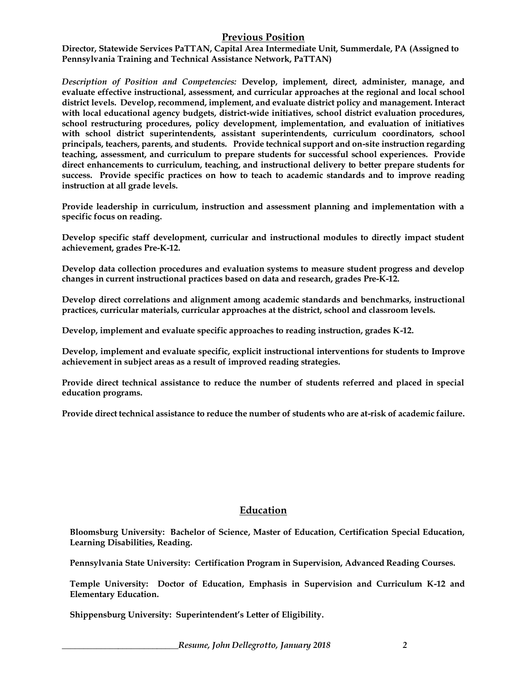# **Previous Position**

**Director, Statewide Services PaTTAN, Capital Area Intermediate Unit, Summerdale, PA (Assigned to Pennsylvania Training and Technical Assistance Network, PaTTAN)**

*Description of Position and Competencies:* **Develop, implement, direct, administer, manage, and evaluate effective instructional, assessment, and curricular approaches at the regional and local school district levels. Develop, recommend, implement, and evaluate district policy and management. Interact with local educational agency budgets, district-wide initiatives, school district evaluation procedures, school restructuring procedures, policy development, implementation, and evaluation of initiatives with school district superintendents, assistant superintendents, curriculum coordinators, school principals, teachers, parents, and students. Provide technical support and on-site instruction regarding teaching, assessment, and curriculum to prepare students for successful school experiences. Provide direct enhancements to curriculum, teaching, and instructional delivery to better prepare students for success. Provide specific practices on how to teach to academic standards and to improve reading instruction at all grade levels.**

**Provide leadership in curriculum, instruction and assessment planning and implementation with a specific focus on reading.**

**Develop specific staff development, curricular and instructional modules to directly impact student achievement, grades Pre-K-12.**

**Develop data collection procedures and evaluation systems to measure student progress and develop changes in current instructional practices based on data and research, grades Pre-K-12.**

**Develop direct correlations and alignment among academic standards and benchmarks, instructional practices, curricular materials, curricular approaches at the district, school and classroom levels.**

**Develop, implement and evaluate specific approaches to reading instruction, grades K-12.**

**Develop, implement and evaluate specific, explicit instructional interventions for students to Improve achievement in subject areas as a result of improved reading strategies.**

**Provide direct technical assistance to reduce the number of students referred and placed in special education programs.**

**Provide direct technical assistance to reduce the number of students who are at-risk of academic failure.**

## **Education**

**Bloomsburg University: Bachelor of Science, Master of Education, Certification Special Education, Learning Disabilities, Reading.**

**Pennsylvania State University: Certification Program in Supervision, Advanced Reading Courses.**

**Temple University: Doctor of Education, Emphasis in Supervision and Curriculum K-12 and Elementary Education.**

**Shippensburg University: Superintendent's Letter of Eligibility.**